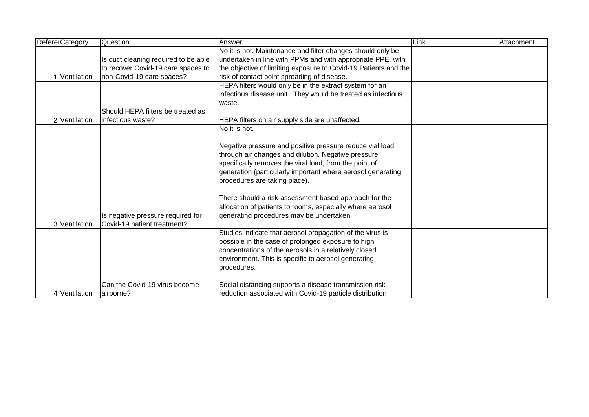| <b>Refere Category</b> | Question                             | Answer                                                          | Link | Attachment |
|------------------------|--------------------------------------|-----------------------------------------------------------------|------|------------|
|                        |                                      | No it is not. Maintenance and filter changes should only be     |      |            |
|                        | Is duct cleaning required to be able | undertaken in line with PPMs and with appropriate PPE, with     |      |            |
|                        | to recover Covid-19 care spaces to   | the objective of limiting exposure to Covid-19 Patients and the |      |            |
| 1 Ventilation          | non-Covid-19 care spaces?            | risk of contact point spreading of disease.                     |      |            |
|                        |                                      | HEPA filters would only be in the extract system for an         |      |            |
|                        |                                      | infectious disease unit. They would be treated as infectious    |      |            |
|                        |                                      | waste.                                                          |      |            |
|                        | Should HEPA filters be treated as    |                                                                 |      |            |
| 2 Ventilation          | infectious waste?                    | HEPA filters on air supply side are unaffected.                 |      |            |
|                        |                                      | No it is not.                                                   |      |            |
|                        |                                      |                                                                 |      |            |
|                        |                                      | Negative pressure and positive pressure reduce vial load        |      |            |
|                        |                                      | through air changes and dilution. Negative pressure             |      |            |
|                        |                                      | specifically removes the viral load, from the point of          |      |            |
|                        |                                      | generation (particularly important where aerosol generating     |      |            |
|                        |                                      | procedures are taking place).                                   |      |            |
|                        |                                      |                                                                 |      |            |
|                        |                                      | There should a risk assessment based approach for the           |      |            |
|                        |                                      | allocation of patients to rooms, especially where aerosol       |      |            |
|                        | Is negative pressure required for    | generating procedures may be undertaken.                        |      |            |
| 3 Ventilation          | Covid-19 patient treatment?          |                                                                 |      |            |
|                        |                                      | Studies indicate that aerosol propagation of the virus is       |      |            |
|                        |                                      | possible in the case of prolonged exposure to high              |      |            |
|                        |                                      | concentrations of the aerosols in a relatively closed           |      |            |
|                        |                                      | environment. This is specific to aerosol generating             |      |            |
|                        |                                      | procedures.                                                     |      |            |
|                        |                                      |                                                                 |      |            |
|                        | Can the Covid-19 virus become        | Social distancing supports a disease transmission risk          |      |            |
| 4 Ventilation          | airborne?                            | reduction associated with Covid-19 particle distribution        |      |            |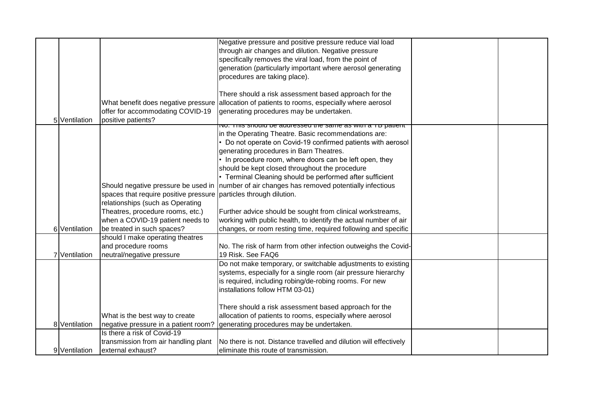|               |                                       | Negative pressure and positive pressure reduce vial load          |  |
|---------------|---------------------------------------|-------------------------------------------------------------------|--|
|               |                                       |                                                                   |  |
|               |                                       | through air changes and dilution. Negative pressure               |  |
|               |                                       | specifically removes the viral load, from the point of            |  |
|               |                                       | generation (particularly important where aerosol generating       |  |
|               |                                       | procedures are taking place).                                     |  |
|               |                                       |                                                                   |  |
|               |                                       | There should a risk assessment based approach for the             |  |
|               | What benefit does negative pressure   | allocation of patients to rooms, especially where aerosol         |  |
|               | offer for accommodating COVID-19      | generating procedures may be undertaken.                          |  |
| 5 Ventilation | positive patients?                    |                                                                   |  |
|               |                                       | <u>NO. THIS SHOUIU DE AUUTESSEU THE SAIHE AS WITH A TO PATENT</u> |  |
|               |                                       | in the Operating Theatre. Basic recommendations are:              |  |
|               |                                       | Do not operate on Covid-19 confirmed patients with aerosol        |  |
|               |                                       | generating procedures in Barn Theatres.                           |  |
|               |                                       | In procedure room, where doors can be left open, they             |  |
|               |                                       | should be kept closed throughout the procedure                    |  |
|               |                                       | • Terminal Cleaning should be performed after sufficient          |  |
|               | Should negative pressure be used in   | number of air changes has removed potentially infectious          |  |
|               | spaces that require positive pressure | particles through dilution.                                       |  |
|               | relationships (such as Operating      |                                                                   |  |
|               | Theatres, procedure rooms, etc.)      | Further advice should be sought from clinical workstreams,        |  |
|               | when a COVID-19 patient needs to      | working with public health, to identify the actual number of air  |  |
| 6 Ventilation | be treated in such spaces?            | changes, or room resting time, required following and specific    |  |
|               | should I make operating theatres      |                                                                   |  |
|               | and procedure rooms                   | No. The risk of harm from other infection outweighs the Covid-    |  |
| 7 Ventilation |                                       | 19 Risk. See FAQ6                                                 |  |
|               | neutral/negative pressure             |                                                                   |  |
|               |                                       | Do not make temporary, or switchable adjustments to existing      |  |
|               |                                       | systems, especially for a single room (air pressure hierarchy     |  |
|               |                                       | is required, including robing/de-robing rooms. For new            |  |
|               |                                       | installations follow HTM 03-01)                                   |  |
|               |                                       |                                                                   |  |
|               |                                       | There should a risk assessment based approach for the             |  |
|               | What is the best way to create        | allocation of patients to rooms, especially where aerosol         |  |
| 8 Ventilation | negative pressure in a patient room?  | generating procedures may be undertaken.                          |  |
|               | Is there a risk of Covid-19           |                                                                   |  |
|               | transmission from air handling plant  | No there is not. Distance travelled and dilution will effectively |  |
| 9 Ventilation | external exhaust?                     | eliminate this route of transmission.                             |  |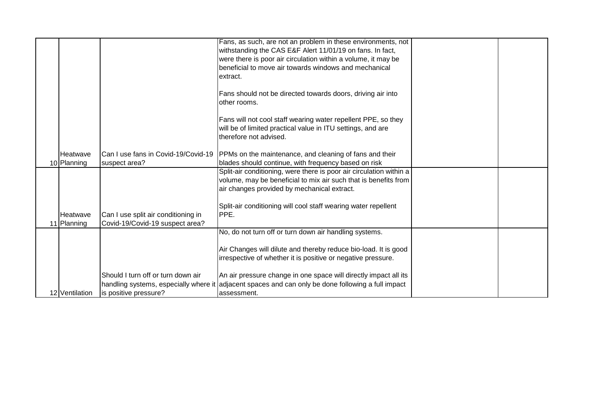|                 |                                       | Fans, as such, are not an problem in these environments, not        |  |
|-----------------|---------------------------------------|---------------------------------------------------------------------|--|
|                 |                                       | withstanding the CAS E&F Alert 11/01/19 on fans. In fact,           |  |
|                 |                                       | were there is poor air circulation within a volume, it may be       |  |
|                 |                                       | beneficial to move air towards windows and mechanical               |  |
|                 |                                       | extract.                                                            |  |
|                 |                                       |                                                                     |  |
|                 |                                       | Fans should not be directed towards doors, driving air into         |  |
|                 |                                       | other rooms.                                                        |  |
|                 |                                       |                                                                     |  |
|                 |                                       | Fans will not cool staff wearing water repellent PPE, so they       |  |
|                 |                                       | will be of limited practical value in ITU settings, and are         |  |
|                 |                                       | therefore not advised.                                              |  |
|                 |                                       |                                                                     |  |
| <b>Heatwave</b> | Can I use fans in Covid-19/Covid-19   | PPMs on the maintenance, and cleaning of fans and their             |  |
|                 |                                       |                                                                     |  |
| 10 Planning     | suspect area?                         | blades should continue, with frequency based on risk                |  |
|                 |                                       | Split-air conditioning, were there is poor air circulation within a |  |
|                 |                                       | volume, may be beneficial to mix air such that is benefits from     |  |
|                 |                                       | air changes provided by mechanical extract.                         |  |
|                 |                                       |                                                                     |  |
|                 |                                       | Split-air conditioning will cool staff wearing water repellent      |  |
| Heatwave        | Can I use split air conditioning in   | PPE.                                                                |  |
| 11 Planning     | Covid-19/Covid-19 suspect area?       |                                                                     |  |
|                 |                                       | No, do not turn off or turn down air handling systems.              |  |
|                 |                                       |                                                                     |  |
|                 |                                       | Air Changes will dilute and thereby reduce bio-load. It is good     |  |
|                 |                                       | irrespective of whether it is positive or negative pressure.        |  |
|                 |                                       |                                                                     |  |
|                 | Should I turn off or turn down air    | An air pressure change in one space will directly impact all its    |  |
|                 | handling systems, especially where it | adjacent spaces and can only be done following a full impact        |  |
| 12 Ventilation  | is positive pressure?                 | assessment.                                                         |  |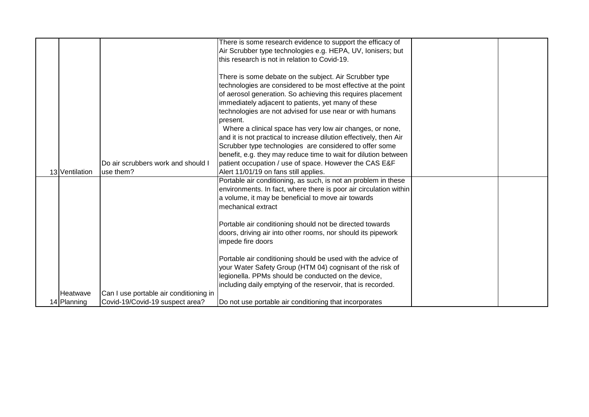|                |                                        | There is some research evidence to support the efficacy of         |  |
|----------------|----------------------------------------|--------------------------------------------------------------------|--|
|                |                                        | Air Scrubber type technologies e.g. HEPA, UV, Ionisers; but        |  |
|                |                                        | this research is not in relation to Covid-19.                      |  |
|                |                                        |                                                                    |  |
|                |                                        | There is some debate on the subject. Air Scrubber type             |  |
|                |                                        | technologies are considered to be most effective at the point      |  |
|                |                                        | of aerosol generation. So achieving this requires placement        |  |
|                |                                        | immediately adjacent to patients, yet many of these                |  |
|                |                                        | technologies are not advised for use near or with humans           |  |
|                |                                        | present.                                                           |  |
|                |                                        | Where a clinical space has very low air changes, or none,          |  |
|                |                                        | and it is not practical to increase dilution effectively, then Air |  |
|                |                                        | Scrubber type technologies are considered to offer some            |  |
|                |                                        | benefit, e.g. they may reduce time to wait for dilution between    |  |
|                |                                        |                                                                    |  |
|                | Do air scrubbers work and should I     | patient occupation / use of space. However the CAS E&F             |  |
| 13 Ventilation | use them?                              | Alert 11/01/19 on fans still applies.                              |  |
|                |                                        | Portable air conditioning, as such, is not an problem in these     |  |
|                |                                        | environments. In fact, where there is poor air circulation within  |  |
|                |                                        | a volume, it may be beneficial to move air towards                 |  |
|                |                                        | mechanical extract                                                 |  |
|                |                                        |                                                                    |  |
|                |                                        | Portable air conditioning should not be directed towards           |  |
|                |                                        | doors, driving air into other rooms, nor should its pipework       |  |
|                |                                        | impede fire doors                                                  |  |
|                |                                        |                                                                    |  |
|                |                                        | Portable air conditioning should be used with the advice of        |  |
|                |                                        | your Water Safety Group (HTM 04) cognisant of the risk of          |  |
|                |                                        | legionella. PPMs should be conducted on the device,                |  |
|                |                                        |                                                                    |  |
|                |                                        | including daily emptying of the reservoir, that is recorded.       |  |
| Heatwave       | Can I use portable air conditioning in |                                                                    |  |
| 14 Planning    | Covid-19/Covid-19 suspect area?        | Do not use portable air conditioning that incorporates             |  |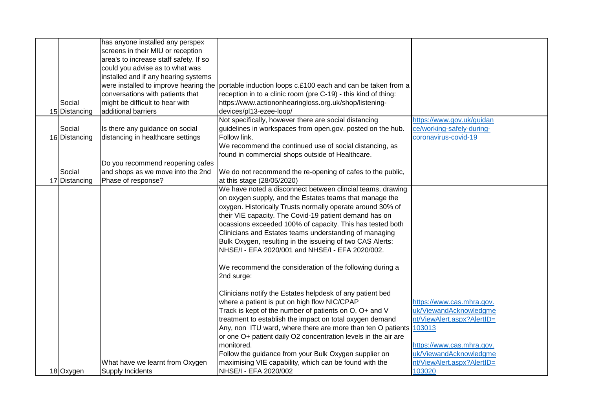|               | has anyone installed any perspex       |                                                                                                    |                            |  |
|---------------|----------------------------------------|----------------------------------------------------------------------------------------------------|----------------------------|--|
|               | screens in their MIU or reception      |                                                                                                    |                            |  |
|               | area's to increase staff safety. If so |                                                                                                    |                            |  |
|               | could you advise as to what was        |                                                                                                    |                            |  |
|               | installed and if any hearing systems   |                                                                                                    |                            |  |
|               |                                        | were installed to improve hearing the portable induction loops c.£100 each and can be taken from a |                            |  |
|               | conversations with patients that       | reception in to a clinic room (pre C-19) - this kind of thing:                                     |                            |  |
| Social        | might be difficult to hear with        | https://www.actiononhearingloss.org.uk/shop/listening-                                             |                            |  |
| 15 Distancing | additional barriers                    | devices/pl13-ezee-loop/                                                                            |                            |  |
|               |                                        | Not specifically, however there are social distancing                                              | https://www.gov.uk/guidan  |  |
| Social        | Is there any guidance on social        | guidelines in workspaces from open.gov. posted on the hub.                                         | ce/working-safely-during-  |  |
| 16 Distancing | distancing in healthcare settings      | Follow link.                                                                                       | coronavirus-covid-19       |  |
|               |                                        | We recommend the continued use of social distancing, as                                            |                            |  |
|               |                                        | found in commercial shops outside of Healthcare.                                                   |                            |  |
|               | Do you recommend reopening cafes       |                                                                                                    |                            |  |
| Social        | and shops as we move into the 2nd      | We do not recommend the re-opening of cafes to the public,                                         |                            |  |
| 17 Distancing | Phase of response?                     | at this stage (28/05/2020)                                                                         |                            |  |
|               |                                        | We have noted a disconnect between clincial teams, drawing                                         |                            |  |
|               |                                        | on oxygen supply, and the Estates teams that manage the                                            |                            |  |
|               |                                        | oxygen. Historically Trusts normally operate around 30% of                                         |                            |  |
|               |                                        | their VIE capacity. The Covid-19 patient demand has on                                             |                            |  |
|               |                                        | ocassions exceeded 100% of capacity. This has tested both                                          |                            |  |
|               |                                        | Clinicians and Estates teams understanding of managing                                             |                            |  |
|               |                                        | Bulk Oxygen, resulting in the issueing of two CAS Alerts:                                          |                            |  |
|               |                                        | NHSE/I - EFA 2020/001 and NHSE/I - EFA 2020/002.                                                   |                            |  |
|               |                                        |                                                                                                    |                            |  |
|               |                                        | We recommend the consideration of the following during a                                           |                            |  |
|               |                                        | 2nd surge:                                                                                         |                            |  |
|               |                                        |                                                                                                    |                            |  |
|               |                                        | Clinicians notify the Estates helpdesk of any patient bed                                          |                            |  |
|               |                                        | where a patient is put on high flow NIC/CPAP                                                       | https://www.cas.mhra.gov.  |  |
|               |                                        | Track is kept of the number of patients on O, O+ and V                                             | uk/ViewandAcknowledgme     |  |
|               |                                        | treatment to establish the impact on total oxygen demand                                           | nt/ViewAlert.aspx?AlertID= |  |
|               |                                        | Any, non ITU ward, where there are more than ten O patients 103013                                 |                            |  |
|               |                                        | or one O+ patient daily O2 concentration levels in the air are                                     |                            |  |
|               |                                        | monitored.                                                                                         | https://www.cas.mhra.gov.  |  |
|               |                                        | Follow the guidance from your Bulk Oxygen supplier on                                              | uk/ViewandAcknowledgme     |  |
|               | What have we learnt from Oxygen        | maximising VIE capability, which can be found with the                                             | nt/ViewAlert.aspx?AlertID= |  |
| 18 Oxygen     | <b>Supply Incidents</b>                | NHSE/I - EFA 2020/002                                                                              | 103020                     |  |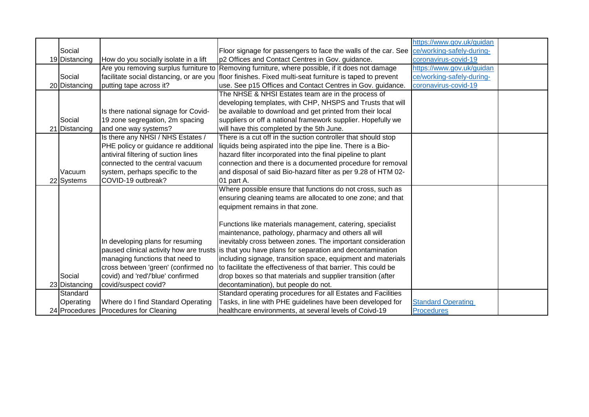|               |                                       |                                                                                                         | https://www.gov.uk/guidan |  |
|---------------|---------------------------------------|---------------------------------------------------------------------------------------------------------|---------------------------|--|
| Social        |                                       | Floor signage for passengers to face the walls of the car. See  ce/working-safely-during-               |                           |  |
| 19 Distancing | How do you socially isolate in a lift | p2 Offices and Contact Centres in Gov. guidance.                                                        | coronavirus-covid-19      |  |
|               | Are you removing surplus furniture to | Removing furniture, where possible, if it does not damage                                               | https://www.gov.uk/guidan |  |
| Social        |                                       | facilitate social distancing, or are you floor finishes. Fixed multi-seat furniture is taped to prevent | ce/working-safely-during- |  |
| 20 Distancing | putting tape across it?               | use. See p15 Offices and Contact Centres in Gov. guidance.                                              | coronavirus-covid-19      |  |
|               |                                       | The NHSE & NHSI Estates team are in the process of                                                      |                           |  |
|               |                                       | developing templates, with CHP, NHSPS and Trusts that will                                              |                           |  |
|               | Is there national signage for Covid-  | be available to download and get printed from their local                                               |                           |  |
| Social        | 19 zone segregation, 2m spacing       | suppliers or off a national framework supplier. Hopefully we                                            |                           |  |
| 21 Distancing | and one way systems?                  | will have this completed by the 5th June.                                                               |                           |  |
|               | Is there any NHSI / NHS Estates /     | There is a cut off in the suction controller that should stop                                           |                           |  |
|               | PHE policy or guidance re additional  | liquids being aspirated into the pipe line. There is a Bio-                                             |                           |  |
|               | antiviral filtering of suction lines  | hazard filter incorporated into the final pipeline to plant                                             |                           |  |
|               | connected to the central vacuum       | connection and there is a documented procedure for removal                                              |                           |  |
| Vacuum        | system, perhaps specific to the       | and disposal of said Bio-hazard filter as per 9.28 of HTM 02-                                           |                           |  |
| 22 Systems    | COVID-19 outbreak?                    | 01 part A.                                                                                              |                           |  |
|               |                                       | Where possible ensure that functions do not cross, such as                                              |                           |  |
|               |                                       | ensuring cleaning teams are allocated to one zone; and that                                             |                           |  |
|               |                                       | equipment remains in that zone.                                                                         |                           |  |
|               |                                       |                                                                                                         |                           |  |
|               |                                       | Functions like materials management, catering, specialist                                               |                           |  |
|               |                                       | maintenance, pathology, pharmacy and others all will                                                    |                           |  |
|               | In developing plans for resuming      | inevitably cross between zones. The important consideration                                             |                           |  |
|               |                                       | paused clinical activity how are trusts is that you have plans for separation and decontamination       |                           |  |
|               | managing functions that need to       | including signage, transition space, equipment and materials                                            |                           |  |
|               | cross between 'green' (confirmed no   | to facilitate the effectiveness of that barrier. This could be                                          |                           |  |
| Social        | covid) and 'red'/'blue' confirmed     | drop boxes so that materials and supplier transition (after                                             |                           |  |
| 23 Distancing | covid/suspect covid?                  | decontamination), but people do not.                                                                    |                           |  |
| Standard      |                                       | Standard operating procedures for all Estates and Facilities                                            |                           |  |
| Operating     | Where do I find Standard Operating    | Tasks, in line with PHE guidelines have been developed for                                              | <b>Standard Operating</b> |  |
|               | 24 Procedures Procedures for Cleaning | healthcare environments, at several levels of Coivd-19                                                  | <b>Procedures</b>         |  |